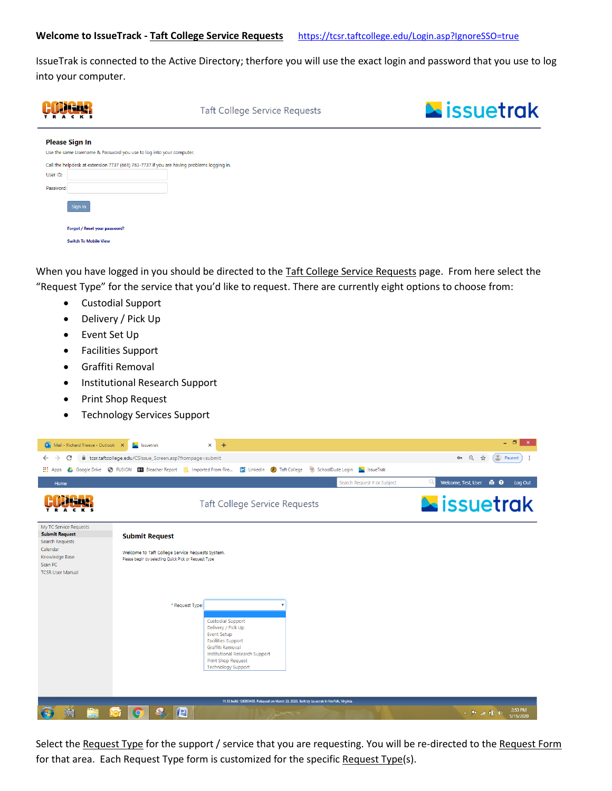IssueTrak is connected to the Active Directory; therfore you will use the exact login and password that you use to log into your computer.

|                                                                                           | <b>Taft College Service Requests</b> | <b>Leissuetrak</b> |  |  |
|-------------------------------------------------------------------------------------------|--------------------------------------|--------------------|--|--|
| <b>Please Sign In</b>                                                                     |                                      |                    |  |  |
| Use the same Username & Password you use to log into your computer.                       |                                      |                    |  |  |
| Call the helpdesk at extension 7737 (661) 763-7737 if you are having problems logging in. |                                      |                    |  |  |
| User ID:                                                                                  |                                      |                    |  |  |
| Password:                                                                                 |                                      |                    |  |  |
| Sign In                                                                                   |                                      |                    |  |  |
| Forgot / Reset your password?                                                             |                                      |                    |  |  |
| <b>Switch To Mobile View</b>                                                              |                                      |                    |  |  |

When you have logged in you should be directed to the Taft College Service Requests page. From here select the "Request Type" for the service that you'd like to request. There are currently eight options to choose from:

- Custodial Support
- Delivery / Pick Up
- Event Set Up
- Facilities Support
- Graffiti Removal
- Institutional Research Support
- Print Shop Request
- Technology Services Support

| Mail - Richard Treece - Outlook X                                                                                                      | <b>New Issuetrak</b>                                                                                                              | ×<br>$+$                                                                                                                                                                                                          |                                      |                                                       |                             | - 0<br>$\boldsymbol{\times}$                                                                                                                                                                                                                                                                                                                                                                                                                                                                      |
|----------------------------------------------------------------------------------------------------------------------------------------|-----------------------------------------------------------------------------------------------------------------------------------|-------------------------------------------------------------------------------------------------------------------------------------------------------------------------------------------------------------------|--------------------------------------|-------------------------------------------------------|-----------------------------|---------------------------------------------------------------------------------------------------------------------------------------------------------------------------------------------------------------------------------------------------------------------------------------------------------------------------------------------------------------------------------------------------------------------------------------------------------------------------------------------------|
| C<br>$\rightarrow$<br>$\leftarrow$                                                                                                     | ■ tcsr.taftcollege.edu/CSIssue_Screen.asp?frompage=submit                                                                         |                                                                                                                                                                                                                   |                                      |                                                       |                             | $O_T$ $Q$<br>Paused<br>☆                                                                                                                                                                                                                                                                                                                                                                                                                                                                          |
| <b>III</b> Apps                                                                                                                        | Google Drive < FUSION BR Bleacher Report Monorted From Fire                                                                       |                                                                                                                                                                                                                   | <b>in</b> LinkedIn                   | <b>(6)</b> Taft College <sup>9</sup> SchoolDude Login | <b>De IssueTrak</b>         |                                                                                                                                                                                                                                                                                                                                                                                                                                                                                                   |
| Home                                                                                                                                   |                                                                                                                                   |                                                                                                                                                                                                                   |                                      |                                                       | Search Request # or Subject | Q<br>$-0$<br>Welcome, Test, User<br>Log Out                                                                                                                                                                                                                                                                                                                                                                                                                                                       |
|                                                                                                                                        |                                                                                                                                   |                                                                                                                                                                                                                   | <b>Taft College Service Requests</b> |                                                       |                             | <b>Exissuetrak</b>                                                                                                                                                                                                                                                                                                                                                                                                                                                                                |
| My TC Service Requests<br><b>Submit Request</b><br>Search Requests<br>Calendar<br>Knowledge Base<br>Scan PC<br><b>TCSR User Manual</b> | <b>Submit Request</b><br>Welcome to Taft College Service Requests System.<br>Please begin by selecting Quick Pick or Request Type |                                                                                                                                                                                                                   |                                      |                                                       |                             |                                                                                                                                                                                                                                                                                                                                                                                                                                                                                                   |
|                                                                                                                                        | * Request Type:                                                                                                                   | <b>Custodial Support</b><br>Delivery / Pick Up<br><b>Event Setup</b><br><b>Facilities Support</b><br>Graffiti Removal<br>Institutional Research Support<br><b>Print Shop Request</b><br><b>Technology Support</b> |                                      |                                                       |                             |                                                                                                                                                                                                                                                                                                                                                                                                                                                                                                   |
| 11.12 build 128950403. Released on March 23, 2020. Built by Issuetrak in Norfolk, Virginia.                                            |                                                                                                                                   |                                                                                                                                                                                                                   |                                      |                                                       |                             |                                                                                                                                                                                                                                                                                                                                                                                                                                                                                                   |
| H.                                                                                                                                     | 匫<br>$\infty$                                                                                                                     |                                                                                                                                                                                                                   |                                      |                                                       |                             | 2:53 PM<br>$\begin{tabular}{c} \bf - & \bf - & \bf - & \bf - & \bf - \\ \bf - & \bf - & \bf - & \bf - \\ \bf - & \bf - & \bf - & \bf - \\ \bf - & \bf - & \bf - & \bf - \\ \bf - & \bf - & \bf - & \bf - \\ \bf - & \bf - & \bf - & \bf - \\ \bf - & \bf - & \bf - & \bf - \\ \bf - & \bf - & \bf - & \bf - \\ \bf - & \bf - & \bf - & \bf - \\ \bf - & \bf - & \bf - & \bf - \\ \bf - & \bf - & \bf - & \bf - \\ \bf - & \bf - & \bf - & \bf - \\ \bf - & \bf - & \bf - & \bf - \\$<br>5/15/2020 |

Select the Request Type for the support / service that you are requesting. You will be re-directed to the Request Form for that area. Each Request Type form is customized for the specific Request Type(s).